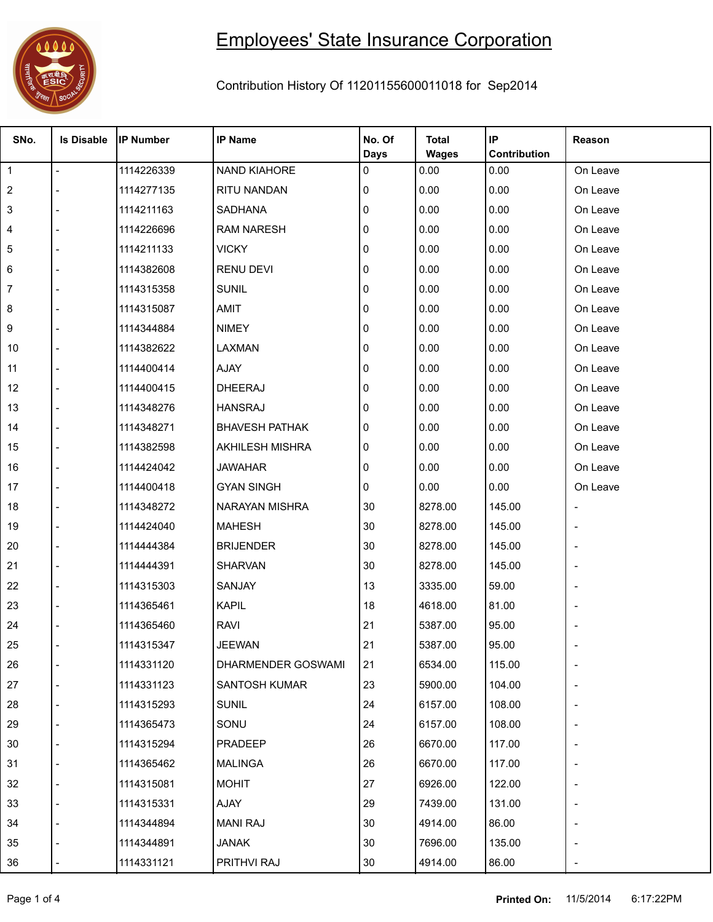

## Employees' State Insurance Corporation

Contribution History Of 11201155600011018 for Sep2014

т

т

т

т

| SNo.           | <b>Is Disable</b>        | <b>IP Number</b> | <b>IP Name</b>        | No. Of      | <b>Total</b> | IP                  | Reason   |
|----------------|--------------------------|------------------|-----------------------|-------------|--------------|---------------------|----------|
|                |                          |                  |                       | <b>Days</b> | <b>Wages</b> | <b>Contribution</b> |          |
| $\overline{1}$ | $\overline{a}$           | 1114226339       | NAND KIAHORE          | 0           | 0.00         | 0.00                | On Leave |
| $\overline{2}$ |                          | 1114277135       | RITU NANDAN           | 0           | 0.00         | 0.00                | On Leave |
| 3              |                          | 1114211163       | SADHANA               | 0           | 0.00         | 0.00                | On Leave |
| 4              |                          | 1114226696       | <b>RAM NARESH</b>     | 0           | 0.00         | 0.00                | On Leave |
| 5              |                          | 1114211133       | <b>VICKY</b>          | 0           | 0.00         | 0.00                | On Leave |
| 6              |                          | 1114382608       | <b>RENU DEVI</b>      | 0           | 0.00         | 0.00                | On Leave |
| 7              |                          | 1114315358       | <b>SUNIL</b>          | 0           | 0.00         | 0.00                | On Leave |
| 8              |                          | 1114315087       | AMIT                  | 0           | 0.00         | 0.00                | On Leave |
| 9              |                          | 1114344884       | <b>NIMEY</b>          | 0           | 0.00         | 0.00                | On Leave |
| 10             |                          | 1114382622       | LAXMAN                | 0           | 0.00         | 0.00                | On Leave |
| 11             |                          | 1114400414       | AJAY                  | 0           | 0.00         | 0.00                | On Leave |
| 12             |                          | 1114400415       | <b>DHEERAJ</b>        | 0           | 0.00         | 0.00                | On Leave |
| 13             | $\overline{a}$           | 1114348276       | <b>HANSRAJ</b>        | 0           | 0.00         | 0.00                | On Leave |
| 14             |                          | 1114348271       | <b>BHAVESH PATHAK</b> | 0           | 0.00         | 0.00                | On Leave |
| 15             |                          | 1114382598       | AKHILESH MISHRA       | 0           | 0.00         | 0.00                | On Leave |
| 16             | $\overline{a}$           | 1114424042       | <b>JAWAHAR</b>        | 0           | 0.00         | 0.00                | On Leave |
| 17             |                          | 1114400418       | <b>GYAN SINGH</b>     | 0           | 0.00         | 0.00                | On Leave |
| 18             |                          | 1114348272       | NARAYAN MISHRA        | 30          | 8278.00      | 145.00              |          |
| 19             | $\overline{\phantom{a}}$ | 1114424040       | <b>MAHESH</b>         | 30          | 8278.00      | 145.00              |          |
| 20             |                          | 1114444384       | <b>BRIJENDER</b>      | 30          | 8278.00      | 145.00              |          |
| 21             |                          | 1114444391       | <b>SHARVAN</b>        | 30          | 8278.00      | 145.00              |          |
| 22             |                          | 1114315303       | SANJAY                | 13          | 3335.00      | 59.00               |          |
| 23             |                          | 1114365461       | <b>KAPIL</b>          | 18          | 4618.00      | 81.00               |          |
| 24             |                          | 1114365460       | <b>RAVI</b>           | 21          | 5387.00      | 95.00               |          |
| 25             |                          | 1114315347       | <b>JEEWAN</b>         | 21          | 5387.00      | 95.00               |          |
| 26             |                          | 1114331120       | DHARMENDER GOSWAMI    | 21          | 6534.00      | 115.00              |          |
| 27             |                          | 1114331123       | SANTOSH KUMAR         | 23          | 5900.00      | 104.00              |          |
| 28             |                          | 1114315293       | <b>SUNIL</b>          | 24          | 6157.00      | 108.00              |          |
| 29             |                          | 1114365473       | SONU                  | 24          | 6157.00      | 108.00              |          |
| 30             |                          | 1114315294       | PRADEEP               | 26          | 6670.00      | 117.00              |          |
| 31             |                          | 1114365462       | <b>MALINGA</b>        | 26          | 6670.00      | 117.00              |          |
| 32             |                          | 1114315081       | <b>MOHIT</b>          | 27          | 6926.00      | 122.00              |          |
| 33             |                          | 1114315331       | AJAY                  | 29          | 7439.00      | 131.00              |          |
| 34             |                          | 1114344894       | <b>MANI RAJ</b>       | 30          | 4914.00      | 86.00               |          |
| 35             |                          | 1114344891       | JANAK                 | 30          | 7696.00      | 135.00              |          |
| 36             |                          | 1114331121       | PRITHVI RAJ           | 30          | 4914.00      | 86.00               |          |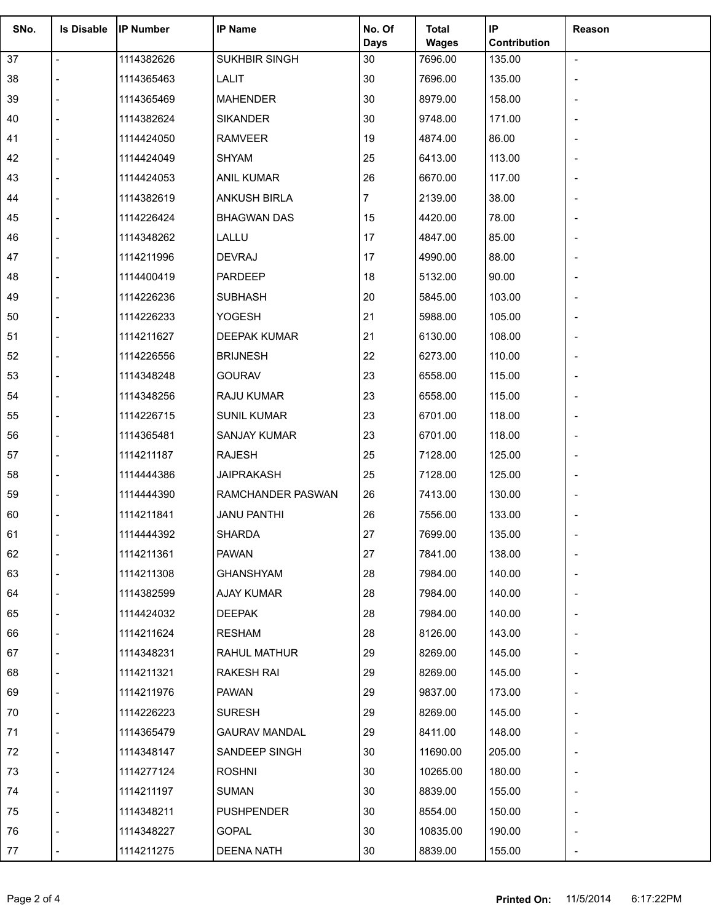| SNo. | <b>Is Disable</b>        | <b>IP Number</b> | <b>IP Name</b>       | No. Of         | <b>Total</b> | IP           | Reason         |
|------|--------------------------|------------------|----------------------|----------------|--------------|--------------|----------------|
|      |                          |                  |                      | <b>Days</b>    | <b>Wages</b> | Contribution |                |
| 37   | $\overline{\phantom{a}}$ | 1114382626       | SUKHBIR SINGH        | 30             | 7696.00      | 135.00       | $\blacksquare$ |
| 38   |                          | 1114365463       | LALIT                | $30\,$         | 7696.00      | 135.00       |                |
| 39   |                          | 1114365469       | <b>MAHENDER</b>      | 30             | 8979.00      | 158.00       |                |
| 40   |                          | 1114382624       | <b>SIKANDER</b>      | $30\,$         | 9748.00      | 171.00       |                |
| 41   |                          | 1114424050       | <b>RAMVEER</b>       | 19             | 4874.00      | 86.00        |                |
| 42   |                          | 1114424049       | <b>SHYAM</b>         | 25             | 6413.00      | 113.00       |                |
| 43   |                          | 1114424053       | <b>ANIL KUMAR</b>    | 26             | 6670.00      | 117.00       |                |
| 44   |                          | 1114382619       | ANKUSH BIRLA         | $\overline{7}$ | 2139.00      | 38.00        |                |
| 45   |                          | 1114226424       | <b>BHAGWAN DAS</b>   | 15             | 4420.00      | 78.00        |                |
| 46   |                          | 1114348262       | LALLU                | 17             | 4847.00      | 85.00        |                |
| 47   |                          | 1114211996       | <b>DEVRAJ</b>        | 17             | 4990.00      | 88.00        |                |
| 48   |                          | 1114400419       | PARDEEP              | 18             | 5132.00      | 90.00        |                |
| 49   |                          | 1114226236       | <b>SUBHASH</b>       | 20             | 5845.00      | 103.00       |                |
| 50   |                          | 1114226233       | <b>YOGESH</b>        | 21             | 5988.00      | 105.00       |                |
| 51   |                          | 1114211627       | DEEPAK KUMAR         | 21             | 6130.00      | 108.00       |                |
| 52   |                          | 1114226556       | <b>BRIJNESH</b>      | 22             | 6273.00      | 110.00       |                |
| 53   |                          | 1114348248       | <b>GOURAV</b>        | 23             | 6558.00      | 115.00       |                |
| 54   |                          | 1114348256       | RAJU KUMAR           | 23             | 6558.00      | 115.00       |                |
| 55   |                          | 1114226715       | <b>SUNIL KUMAR</b>   | 23             | 6701.00      | 118.00       |                |
| 56   |                          | 1114365481       | SANJAY KUMAR         | 23             | 6701.00      | 118.00       |                |
| 57   |                          | 1114211187       | <b>RAJESH</b>        | 25             | 7128.00      | 125.00       |                |
| 58   |                          | 1114444386       | <b>JAIPRAKASH</b>    | 25             | 7128.00      | 125.00       |                |
| 59   |                          | 1114444390       | RAMCHANDER PASWAN    | 26             | 7413.00      | 130.00       |                |
| 60   |                          | 1114211841       | <b>JANU PANTHI</b>   | 26             | 7556.00      | 133.00       |                |
| 61   |                          | 1114444392       | <b>SHARDA</b>        | 27             | 7699.00      | 135.00       |                |
| 62   |                          | 1114211361       | <b>PAWAN</b>         | 27             | 7841.00      | 138.00       |                |
| 63   |                          | 1114211308       | <b>GHANSHYAM</b>     | 28             | 7984.00      | 140.00       |                |
| 64   |                          | 1114382599       | AJAY KUMAR           | 28             | 7984.00      | 140.00       |                |
| 65   |                          | 1114424032       | <b>DEEPAK</b>        | 28             | 7984.00      | 140.00       |                |
| 66   |                          | 1114211624       | <b>RESHAM</b>        | 28             | 8126.00      | 143.00       |                |
| 67   |                          | 1114348231       | RAHUL MATHUR         | 29             | 8269.00      | 145.00       |                |
| 68   |                          | 1114211321       | RAKESH RAI           | 29             | 8269.00      | 145.00       |                |
| 69   |                          | 1114211976       | PAWAN                | 29             | 9837.00      | 173.00       |                |
| 70   |                          | 1114226223       | <b>SURESH</b>        | 29             | 8269.00      | 145.00       |                |
| 71   |                          | 1114365479       | <b>GAURAV MANDAL</b> | 29             | 8411.00      | 148.00       |                |
| 72   |                          | 1114348147       | SANDEEP SINGH        | 30             | 11690.00     | 205.00       |                |
| 73   |                          | 1114277124       | <b>ROSHNI</b>        | 30             | 10265.00     | 180.00       |                |
| 74   |                          | 1114211197       | <b>SUMAN</b>         | 30             | 8839.00      | 155.00       |                |
| 75   |                          | 1114348211       | PUSHPENDER           | 30             | 8554.00      | 150.00       |                |
| 76   |                          | 1114348227       | <b>GOPAL</b>         | 30             | 10835.00     | 190.00       |                |
|      |                          |                  |                      |                |              |              |                |
| 77   |                          | 1114211275       | <b>DEENA NATH</b>    | 30             | 8839.00      | 155.00       |                |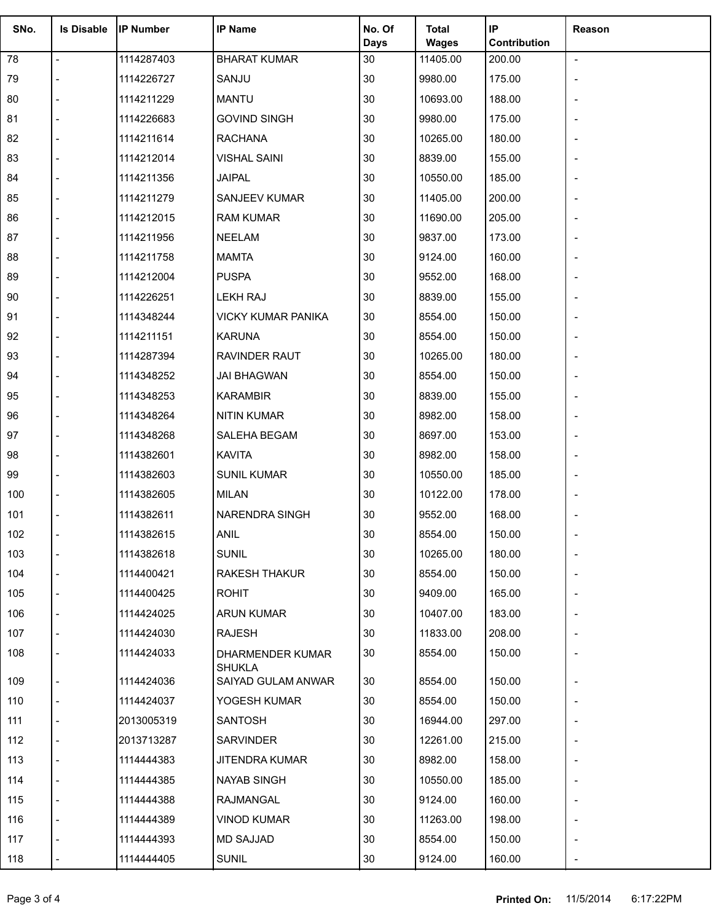| SNo. | <b>Is Disable</b> | <b>IP Number</b> | <b>IP Name</b>                    | No. Of      | <b>Total</b> | IP           | Reason         |
|------|-------------------|------------------|-----------------------------------|-------------|--------------|--------------|----------------|
|      |                   |                  |                                   | <b>Days</b> | <b>Wages</b> | Contribution |                |
| 78   | $\overline{a}$    | 1114287403       | <b>BHARAT KUMAR</b>               | 30<br>30    | 11405.00     | 200.00       | $\blacksquare$ |
| 79   |                   | 1114226727       | SANJU                             |             | 9980.00      | 175.00       |                |
| 80   |                   | 1114211229       | <b>MANTU</b>                      | 30          | 10693.00     | 188.00       |                |
| 81   |                   | 1114226683       | <b>GOVIND SINGH</b>               | 30          | 9980.00      | 175.00       |                |
| 82   |                   | 1114211614       | <b>RACHANA</b>                    | 30          | 10265.00     | 180.00       |                |
| 83   |                   | 1114212014       | <b>VISHAL SAINI</b>               | 30          | 8839.00      | 155.00       |                |
| 84   |                   | 1114211356       | <b>JAIPAL</b>                     | 30          | 10550.00     | 185.00       |                |
| 85   |                   | 1114211279       | SANJEEV KUMAR                     | 30          | 11405.00     | 200.00       |                |
| 86   |                   | 1114212015       | <b>RAM KUMAR</b>                  | 30          | 11690.00     | 205.00       |                |
| 87   |                   | 1114211956       | <b>NEELAM</b>                     | 30          | 9837.00      | 173.00       |                |
| 88   |                   | 1114211758       | <b>MAMTA</b>                      | $30\,$      | 9124.00      | 160.00       |                |
| 89   |                   | 1114212004       | <b>PUSPA</b>                      | 30          | 9552.00      | 168.00       |                |
| 90   |                   | 1114226251       | LEKH RAJ                          | 30          | 8839.00      | 155.00       |                |
| 91   |                   | 1114348244       | <b>VICKY KUMAR PANIKA</b>         | 30          | 8554.00      | 150.00       |                |
| 92   |                   | 1114211151       | <b>KARUNA</b>                     | 30          | 8554.00      | 150.00       |                |
| 93   |                   | 1114287394       | RAVINDER RAUT                     | 30          | 10265.00     | 180.00       |                |
| 94   |                   | 1114348252       | <b>JAI BHAGWAN</b>                | 30          | 8554.00      | 150.00       |                |
| 95   |                   | 1114348253       | <b>KARAMBIR</b>                   | 30          | 8839.00      | 155.00       |                |
| 96   |                   | 1114348264       | <b>NITIN KUMAR</b>                | 30          | 8982.00      | 158.00       |                |
| 97   |                   | 1114348268       | SALEHA BEGAM                      | 30          | 8697.00      | 153.00       |                |
| 98   |                   | 1114382601       | <b>KAVITA</b>                     | 30          | 8982.00      | 158.00       |                |
| 99   |                   | 1114382603       | <b>SUNIL KUMAR</b>                | 30          | 10550.00     | 185.00       |                |
| 100  |                   | 1114382605       | <b>MILAN</b>                      | 30          | 10122.00     | 178.00       |                |
| 101  |                   | 1114382611       | <b>NARENDRA SINGH</b>             | 30          | 9552.00      | 168.00       |                |
| 102  |                   | 1114382615       | <b>ANIL</b>                       | 30          | 8554.00      | 150.00       |                |
| 103  |                   | 1114382618       | <b>SUNIL</b>                      | 30          | 10265.00     | 180.00       |                |
| 104  |                   | 1114400421       | RAKESH THAKUR                     | 30          | 8554.00      | 150.00       |                |
| 105  |                   | 1114400425       | <b>ROHIT</b>                      | 30          | 9409.00      | 165.00       |                |
| 106  |                   | 1114424025       | <b>ARUN KUMAR</b>                 | 30          | 10407.00     | 183.00       |                |
| 107  |                   | 1114424030       | RAJESH                            | 30          | 11833.00     | 208.00       |                |
| 108  |                   | 1114424033       | DHARMENDER KUMAR<br><b>SHUKLA</b> | 30          | 8554.00      | 150.00       |                |
| 109  |                   | 1114424036       | SAIYAD GULAM ANWAR                | 30          | 8554.00      | 150.00       |                |
| 110  |                   | 1114424037       | YOGESH KUMAR                      | 30          | 8554.00      | 150.00       |                |
| 111  |                   | 2013005319       | SANTOSH                           | 30          | 16944.00     | 297.00       |                |
| 112  |                   | 2013713287       | SARVINDER                         | 30          | 12261.00     | 215.00       |                |
| 113  |                   | 1114444383       | <b>JITENDRA KUMAR</b>             | 30          | 8982.00      | 158.00       |                |
| 114  |                   | 1114444385       | NAYAB SINGH                       | 30          | 10550.00     | 185.00       |                |
| 115  |                   | 1114444388       | RAJMANGAL                         | 30          | 9124.00      | 160.00       |                |
| 116  |                   | 1114444389       | VINOD KUMAR                       | 30          | 11263.00     | 198.00       |                |
| 117  |                   | 1114444393       | <b>MD SAJJAD</b>                  | 30          | 8554.00      | 150.00       |                |
| 118  |                   | 1114444405       | <b>SUNIL</b>                      | 30          | 9124.00      | 160.00       |                |